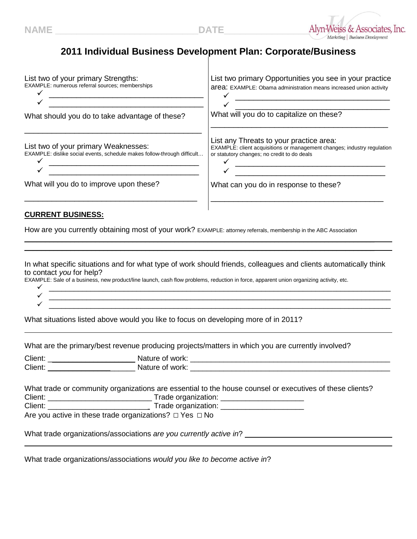

## **2011 Individual Business Development Plan: Corporate/Business**

| List two of your primary Strengths:<br>EXAMPLE: numerous referral sources; memberships                                                                                                                                                                                                                                                                                                                                                                                                                                                                                                                                                                                                                                                            | List two primary Opportunities you see in your practice<br><b>area:</b> EXAMPLE: Obama administration means increased union activity                                              |  |
|---------------------------------------------------------------------------------------------------------------------------------------------------------------------------------------------------------------------------------------------------------------------------------------------------------------------------------------------------------------------------------------------------------------------------------------------------------------------------------------------------------------------------------------------------------------------------------------------------------------------------------------------------------------------------------------------------------------------------------------------------|-----------------------------------------------------------------------------------------------------------------------------------------------------------------------------------|--|
|                                                                                                                                                                                                                                                                                                                                                                                                                                                                                                                                                                                                                                                                                                                                                   |                                                                                                                                                                                   |  |
| What should you do to take advantage of these?                                                                                                                                                                                                                                                                                                                                                                                                                                                                                                                                                                                                                                                                                                    | What will you do to capitalize on these?                                                                                                                                          |  |
| List two of your primary Weaknesses:<br>EXAMPLE: dislike social events, schedule makes follow-through difficult<br><u> 1989 - Johann Barbara, martxa alemaniar a</u>                                                                                                                                                                                                                                                                                                                                                                                                                                                                                                                                                                              | List any Threats to your practice area:<br>EXAMPLE: client acquisitions or management changes; industry regulation<br>or statutory changes; no credit to do deals<br>$\checkmark$ |  |
| What will you do to improve upon these?                                                                                                                                                                                                                                                                                                                                                                                                                                                                                                                                                                                                                                                                                                           | What can you do in response to these?                                                                                                                                             |  |
| How are you currently obtaining most of your work? EXAMPLE: attorney referrals, membership in the ABC Association<br>In what specific situations and for what type of work should friends, colleagues and clients automatically think<br>to contact you for help?<br>EXAMPLE: Sale of a business, new product/line launch, cash flow problems, reduction in force, apparent union organizing activity, etc.<br><u> 1989 - 1989 - 1989 - 1989 - 1989 - 1989 - 1989 - 1989 - 1989 - 1989 - 1989 - 1989 - 1989 - 1989 - 1989 - 19</u><br><u> 1989 - Jan James James James James James James James James James James James James James James James James J</u><br>What situations listed above would you like to focus on developing more of in 2011? |                                                                                                                                                                                   |  |
|                                                                                                                                                                                                                                                                                                                                                                                                                                                                                                                                                                                                                                                                                                                                                   |                                                                                                                                                                                   |  |
| What are the primary/best revenue producing projects/matters in which you are currently involved?                                                                                                                                                                                                                                                                                                                                                                                                                                                                                                                                                                                                                                                 |                                                                                                                                                                                   |  |
|                                                                                                                                                                                                                                                                                                                                                                                                                                                                                                                                                                                                                                                                                                                                                   |                                                                                                                                                                                   |  |
| What trade or community organizations are essential to the house counsel or executives of these clients?<br>Are you active in these trade organizations? □ Yes □ No                                                                                                                                                                                                                                                                                                                                                                                                                                                                                                                                                                               |                                                                                                                                                                                   |  |
|                                                                                                                                                                                                                                                                                                                                                                                                                                                                                                                                                                                                                                                                                                                                                   |                                                                                                                                                                                   |  |

What trade organizations/associations *would you like to become active in*?